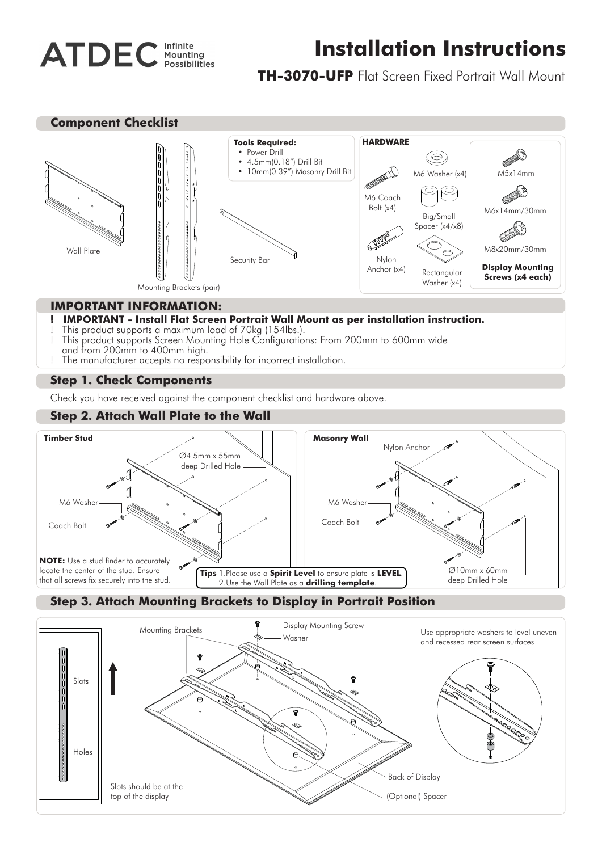# ATDEC Mounting

## **Installation Instructions**

**TH-3070-UFP** Flat Screen Fixed Portrait Wall Mount



#### **IMPORTANT INFORMATION:**

- **! IMPORTANT Install Flat Screen Portrait Wall Mount as per installation instruction.**
- This product supports a maximum load of 70kg (154lbs.).
- This product supports Screen Mounting Hole Configurations: From 200mm to 600mm wide and from 200mm to 400mm high.
- ! The manufacturer accepts no responsibility for incorrect installation.

#### **Step 1. Check Components**

Check you have received against the component checklist and hardware above.

#### **Step 2. Attach Wall Plate to the Wall**



#### **Step 3. Attach Mounting Brackets to Display in Portrait Position**